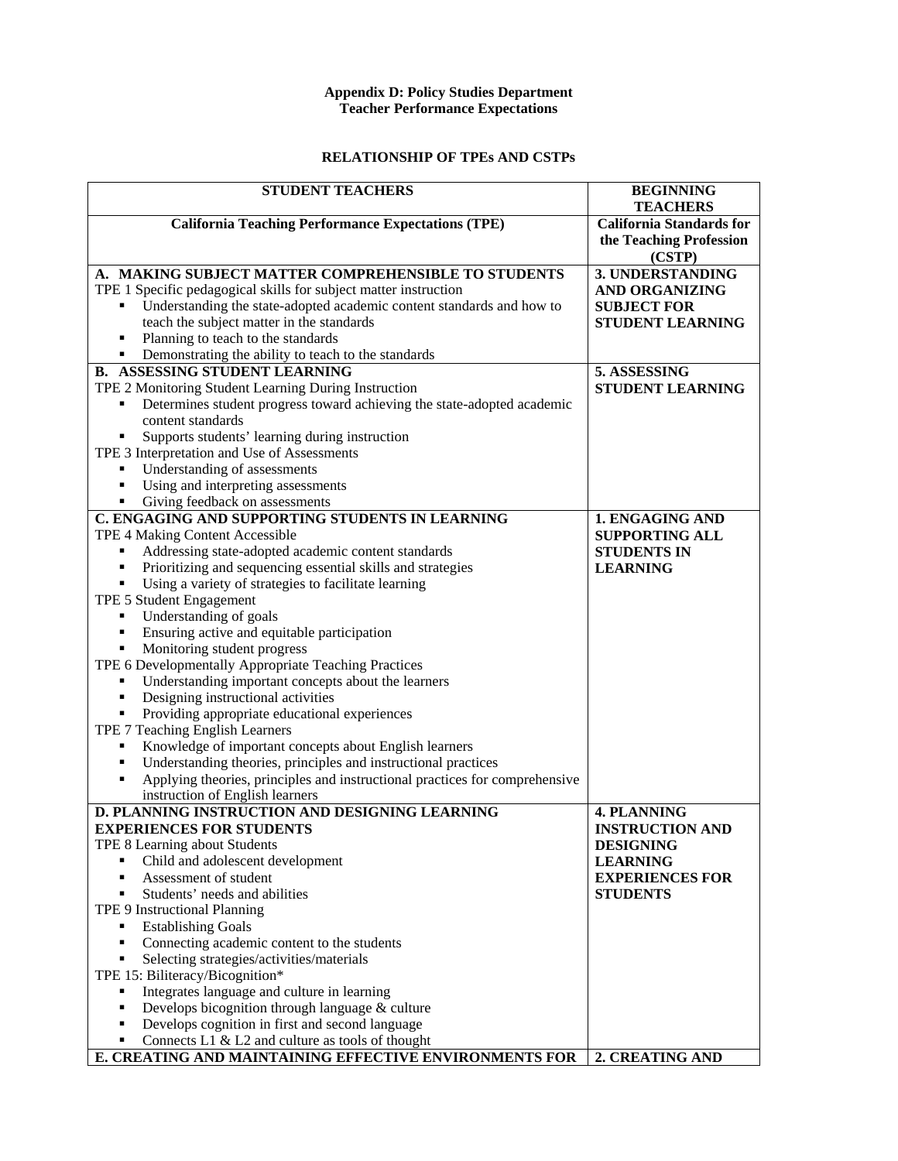## **Appendix D: Policy Studies Department Teacher Performance Expectations**

## **RELATIONSHIP OF TPEs AND CSTPs**

| <b>STUDENT TEACHERS</b>                                                                                                 | <b>BEGINNING</b><br><b>TEACHERS</b>   |
|-------------------------------------------------------------------------------------------------------------------------|---------------------------------------|
| <b>California Teaching Performance Expectations (TPE)</b>                                                               | <b>California Standards for</b>       |
|                                                                                                                         | the Teaching Profession<br>(CSTP)     |
| A. MAKING SUBJECT MATTER COMPREHENSIBLE TO STUDENTS                                                                     | 3. UNDERSTANDING                      |
| TPE 1 Specific pedagogical skills for subject matter instruction                                                        | <b>AND ORGANIZING</b>                 |
| Understanding the state-adopted academic content standards and how to                                                   | <b>SUBJECT FOR</b>                    |
| teach the subject matter in the standards                                                                               | <b>STUDENT LEARNING</b>               |
| Planning to teach to the standards                                                                                      |                                       |
| Demonstrating the ability to teach to the standards                                                                     |                                       |
| <b>B. ASSESSING STUDENT LEARNING</b>                                                                                    | 5. ASSESSING                          |
| TPE 2 Monitoring Student Learning During Instruction                                                                    | <b>STUDENT LEARNING</b>               |
| Determines student progress toward achieving the state-adopted academic<br>٠                                            |                                       |
| content standards                                                                                                       |                                       |
| Supports students' learning during instruction<br>٠                                                                     |                                       |
| TPE 3 Interpretation and Use of Assessments                                                                             |                                       |
| Understanding of assessments<br>п                                                                                       |                                       |
| Using and interpreting assessments<br>٠                                                                                 |                                       |
| Giving feedback on assessments<br>٠                                                                                     |                                       |
| C. ENGAGING AND SUPPORTING STUDENTS IN LEARNING                                                                         | 1. ENGAGING AND                       |
| TPE 4 Making Content Accessible                                                                                         | <b>SUPPORTING ALL</b>                 |
| Addressing state-adopted academic content standards<br>Prioritizing and sequencing essential skills and strategies<br>٠ | <b>STUDENTS IN</b><br><b>LEARNING</b> |
| Using a variety of strategies to facilitate learning                                                                    |                                       |
| TPE 5 Student Engagement                                                                                                |                                       |
| Understanding of goals<br>٠                                                                                             |                                       |
| Ensuring active and equitable participation<br>٠                                                                        |                                       |
| Monitoring student progress<br>٠                                                                                        |                                       |
| TPE 6 Developmentally Appropriate Teaching Practices                                                                    |                                       |
| Understanding important concepts about the learners<br>٠                                                                |                                       |
| Designing instructional activities<br>٠                                                                                 |                                       |
| Providing appropriate educational experiences<br>٠                                                                      |                                       |
| TPE 7 Teaching English Learners                                                                                         |                                       |
| Knowledge of important concepts about English learners<br>٠                                                             |                                       |
| Understanding theories, principles and instructional practices<br>٠                                                     |                                       |
| Applying theories, principles and instructional practices for comprehensive                                             |                                       |
| instruction of English learners                                                                                         |                                       |
| D. PLANNING INSTRUCTION AND DESIGNING LEARNING                                                                          | <b>4. PLANNING</b>                    |
| <b>EXPERIENCES FOR STUDENTS</b>                                                                                         | <b>INSTRUCTION AND</b>                |
| TPE 8 Learning about Students                                                                                           | <b>DESIGNING</b>                      |
| Child and adolescent development<br>٠                                                                                   | <b>LEARNING</b>                       |
| Assessment of student<br>п                                                                                              | <b>EXPERIENCES FOR</b>                |
| Students' needs and abilities<br>п                                                                                      | <b>STUDENTS</b>                       |
| TPE 9 Instructional Planning                                                                                            |                                       |
| <b>Establishing Goals</b><br>٠                                                                                          |                                       |
| Connecting academic content to the students<br>٠                                                                        |                                       |
| Selecting strategies/activities/materials<br>٠                                                                          |                                       |
| TPE 15: Biliteracy/Bicognition*<br>Integrates language and culture in learning                                          |                                       |
| ٠<br>Develops bicognition through language & culture<br>٠                                                               |                                       |
| Develops cognition in first and second language<br>٠                                                                    |                                       |
| Connects L1 $&$ L2 and culture as tools of thought<br>٠                                                                 |                                       |
| E. CREATING AND MAINTAINING EFFECTIVE ENVIRONMENTS FOR                                                                  | 2. CREATING AND                       |